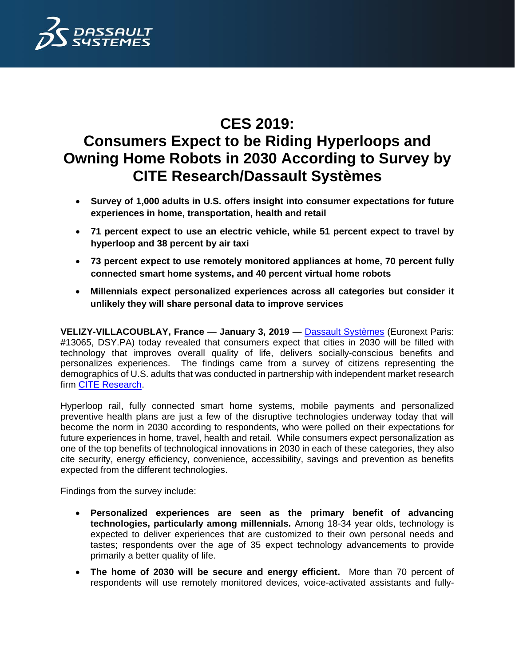

# **CES 2019:**

# **Consumers Expect to be Riding Hyperloops and Owning Home Robots in 2030 According to Survey by CITE Research/Dassault Systèmes**

- **Survey of 1,000 adults in U.S. offers insight into consumer expectations for future experiences in home, transportation, health and retail**
- **71 percent expect to use an electric vehicle, while 51 percent expect to travel by hyperloop and 38 percent by air taxi**
- **73 percent expect to use remotely monitored appliances at home, 70 percent fully connected smart home systems, and 40 percent virtual home robots**
- **Millennials expect personalized experiences across all categories but consider it unlikely they will share personal data to improve services**

**VELIZY-VILLACOUBLAY, France** — **January 3, 2019** — [Dassault Systèmes](http://www.3ds.com/) (Euronext Paris: #13065, DSY.PA) today revealed that consumers expect that cities in 2030 will be filled with technology that improves overall quality of life, delivers socially-conscious benefits and personalizes experiences. The findings came from a survey of citizens representing the demographics of U.S. adults that was conducted in partnership with independent market research firm [CITE Research.](https://www.citeresearch.com/)

Hyperloop rail, fully connected smart home systems, mobile payments and personalized preventive health plans are just a few of the disruptive technologies underway today that will become the norm in 2030 according to respondents, who were polled on their expectations for future experiences in home, travel, health and retail. While consumers expect personalization as one of the top benefits of technological innovations in 2030 in each of these categories, they also cite security, energy efficiency, convenience, accessibility, savings and prevention as benefits expected from the different technologies.

Findings from the survey include:

- **Personalized experiences are seen as the primary benefit of advancing technologies, particularly among millennials.** Among 18-34 year olds, technology is expected to deliver experiences that are customized to their own personal needs and tastes; respondents over the age of 35 expect technology advancements to provide primarily a better quality of life.
- **The home of 2030 will be secure and energy efficient.** More than 70 percent of respondents will use remotely monitored devices, voice-activated assistants and fully-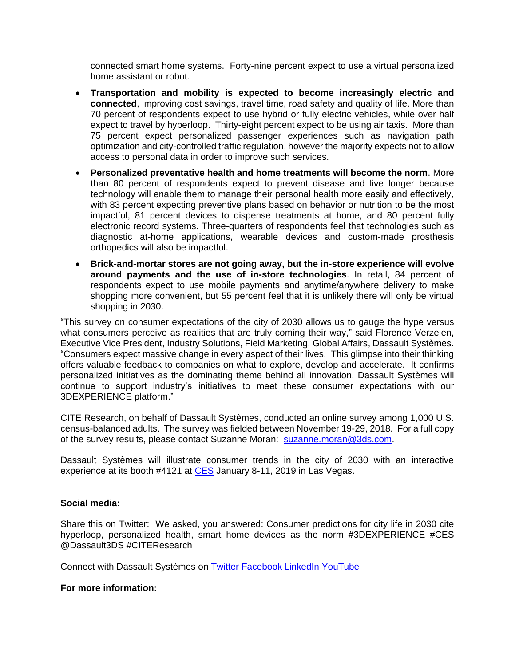connected smart home systems. Forty-nine percent expect to use a virtual personalized home assistant or robot.

- **Transportation and mobility is expected to become increasingly electric and connected**, improving cost savings, travel time, road safety and quality of life. More than 70 percent of respondents expect to use hybrid or fully electric vehicles, while over half expect to travel by hyperloop. Thirty-eight percent expect to be using air taxis. More than 75 percent expect personalized passenger experiences such as navigation path optimization and city-controlled traffic regulation, however the majority expects not to allow access to personal data in order to improve such services.
- **Personalized preventative health and home treatments will become the norm**. More than 80 percent of respondents expect to prevent disease and live longer because technology will enable them to manage their personal health more easily and effectively, with 83 percent expecting preventive plans based on behavior or nutrition to be the most impactful, 81 percent devices to dispense treatments at home, and 80 percent fully electronic record systems. Three-quarters of respondents feel that technologies such as diagnostic at-home applications, wearable devices and custom-made prosthesis orthopedics will also be impactful.
- **Brick-and-mortar stores are not going away, but the in-store experience will evolve around payments and the use of in-store technologies**. In retail, 84 percent of respondents expect to use mobile payments and anytime/anywhere delivery to make shopping more convenient, but 55 percent feel that it is unlikely there will only be virtual shopping in 2030.

"This survey on consumer expectations of the city of 2030 allows us to gauge the hype versus what consumers perceive as realities that are truly coming their way," said Florence Verzelen, Executive Vice President, Industry Solutions, Field Marketing, Global Affairs, Dassault Systèmes. "Consumers expect massive change in every aspect of their lives. This glimpse into their thinking offers valuable feedback to companies on what to explore, develop and accelerate. It confirms personalized initiatives as the dominating theme behind all innovation. Dassault Systèmes will continue to support industry's initiatives to meet these consumer expectations with our 3DEXPERIENCE platform."

CITE Research, on behalf of Dassault Systèmes, conducted an online survey among 1,000 U.S. census-balanced adults. The survey was fielded between November 19-29, 2018. For a full copy of the survey results, please contact Suzanne Moran: [suzanne.moran@3ds.com.](mailto:suzanne.moran@3ds.com)

Dassault Systèmes will illustrate consumer trends in the city of 2030 with an interactive experience at its booth #4121 at [CES](https://www.ces.tech/) January 8-11, 2019 in Las Vegas.

# **Social media:**

Share this on Twitter: We asked, you answered: Consumer predictions for city life in 2030 cite hyperloop, personalized health, smart home devices as the norm #3DEXPERIENCE #CES @Dassault3DS #CITEResearch

Connect with Dassault Systèmes on [Twitter](https://twitter.com/Dassault3DS) [Facebook](https://www.facebook.com/DassaultSystemes) [LinkedIn](https://www.linkedin.com/company/dassaultsystemes) [YouTube](https://www.youtube.com/DassaultSystemes)

# **For more information:**